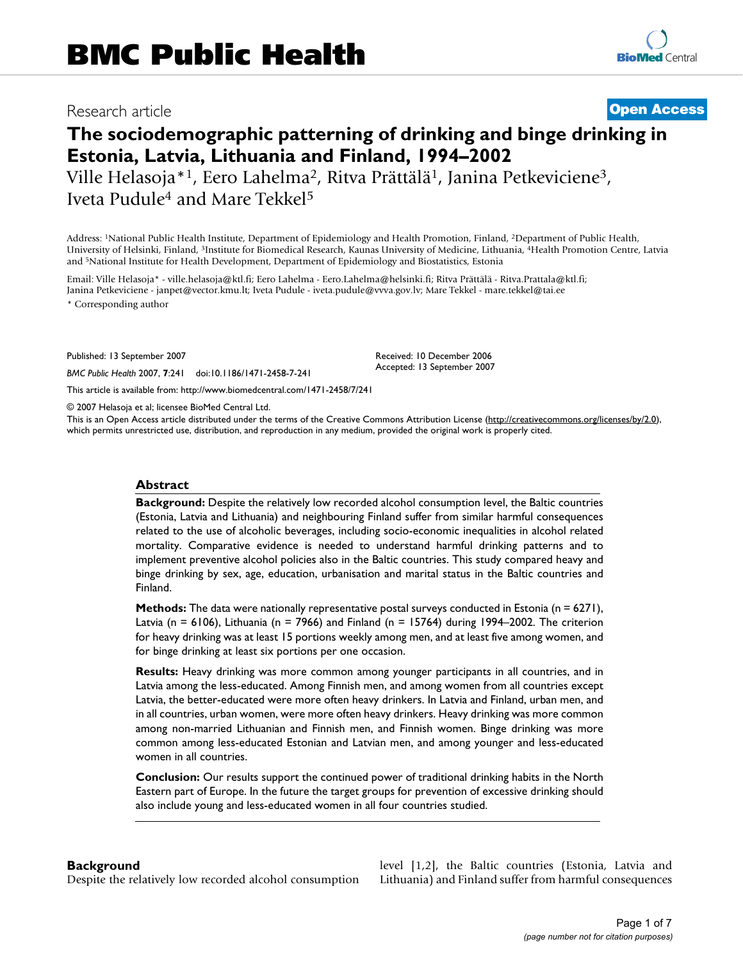# Research article **[Open Access](http://www.biomedcentral.com/info/about/charter/)**

# **The sociodemographic patterning of drinking and binge drinking in Estonia, Latvia, Lithuania and Finland, 1994–2002** Ville Helasoja\*<sup>1</sup>, Eero Lahelma<sup>2</sup>, Ritva Prättälä<sup>1</sup>, Janina Petkeviciene<sup>3</sup>,

Iveta Pudule4 and Mare Tekkel5

Address: 1National Public Health Institute, Department of Epidemiology and Health Promotion, Finland, 2Department of Public Health, University of Helsinki, Finland, 3Institute for Biomedical Research, Kaunas University of Medicine, Lithuania, 4Health Promotion Centre, Latvia and 5National Institute for Health Development, Department of Epidemiology and Biostatistics, Estonia

Email: Ville Helasoja\* - ville.helasoja@ktl.fi; Eero Lahelma - Eero.Lahelma@helsinki.fi; Ritva Prättälä - Ritva.Prattala@ktl.fi; Janina Petkeviciene - janpet@vector.kmu.lt; Iveta Pudule - iveta.pudule@vvva.gov.lv; Mare Tekkel - mare.tekkel@tai.ee

\* Corresponding author

Published: 13 September 2007

*BMC Public Health* 2007, **7**:241 doi:10.1186/1471-2458-7-241

Accepted: 13 September 2007

[This article is available from: http://www.biomedcentral.com/1471-2458/7/241](http://www.biomedcentral.com/1471-2458/7/241)

© 2007 Helasoja et al; licensee BioMed Central Ltd.

This is an Open Access article distributed under the terms of the Creative Commons Attribution License [\(http://creativecommons.org/licenses/by/2.0\)](http://creativecommons.org/licenses/by/2.0), which permits unrestricted use, distribution, and reproduction in any medium, provided the original work is properly cited.

Received: 10 December 2006

#### **Abstract**

**Background:** Despite the relatively low recorded alcohol consumption level, the Baltic countries (Estonia, Latvia and Lithuania) and neighbouring Finland suffer from similar harmful consequences related to the use of alcoholic beverages, including socio-economic inequalities in alcohol related mortality. Comparative evidence is needed to understand harmful drinking patterns and to implement preventive alcohol policies also in the Baltic countries. This study compared heavy and binge drinking by sex, age, education, urbanisation and marital status in the Baltic countries and Finland.

**Methods:** The data were nationally representative postal surveys conducted in Estonia (n = 6271), Latvia (n = 6106), Lithuania (n = 7966) and Finland (n = 15764) during 1994–2002. The criterion for heavy drinking was at least 15 portions weekly among men, and at least five among women, and for binge drinking at least six portions per one occasion.

**Results:** Heavy drinking was more common among younger participants in all countries, and in Latvia among the less-educated. Among Finnish men, and among women from all countries except Latvia, the better-educated were more often heavy drinkers. In Latvia and Finland, urban men, and in all countries, urban women, were more often heavy drinkers. Heavy drinking was more common among non-married Lithuanian and Finnish men, and Finnish women. Binge drinking was more common among less-educated Estonian and Latvian men, and among younger and less-educated women in all countries.

**Conclusion:** Our results support the continued power of traditional drinking habits in the North Eastern part of Europe. In the future the target groups for prevention of excessive drinking should also include young and less-educated women in all four countries studied.

#### **Background**

Despite the relatively low recorded alcohol consumption

level [1,2], the Baltic countries (Estonia, Latvia and Lithuania) and Finland suffer from harmful consequences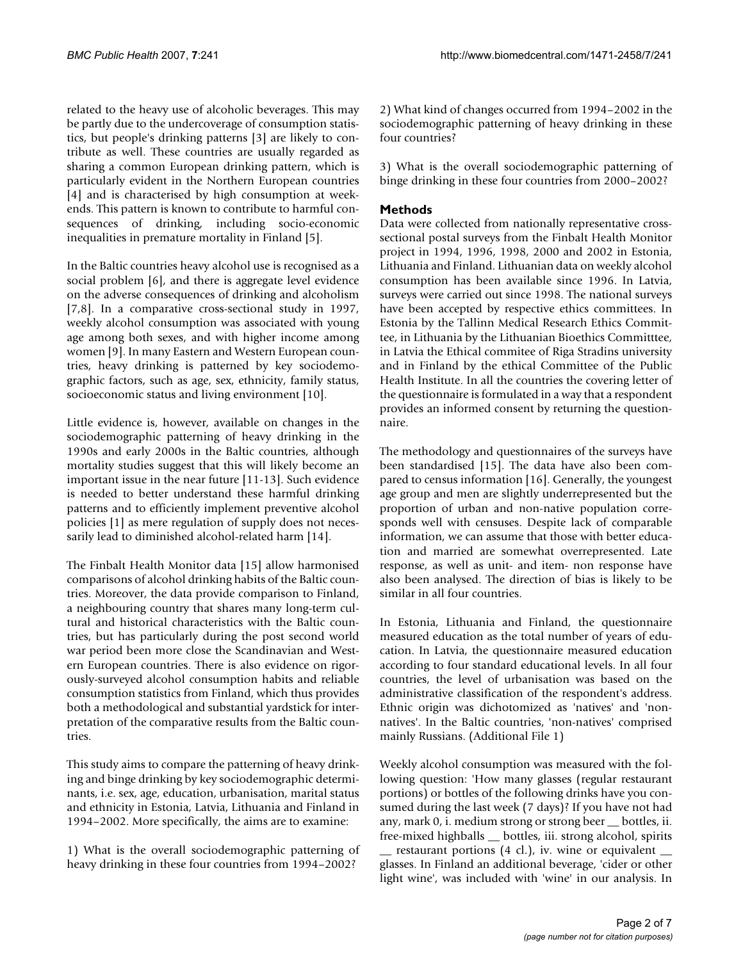related to the heavy use of alcoholic beverages. This may be partly due to the undercoverage of consumption statistics, but people's drinking patterns [3] are likely to contribute as well. These countries are usually regarded as sharing a common European drinking pattern, which is particularly evident in the Northern European countries [4] and is characterised by high consumption at weekends. This pattern is known to contribute to harmful consequences of drinking, including socio-economic inequalities in premature mortality in Finland [5].

In the Baltic countries heavy alcohol use is recognised as a social problem [6], and there is aggregate level evidence on the adverse consequences of drinking and alcoholism [7,8]. In a comparative cross-sectional study in 1997, weekly alcohol consumption was associated with young age among both sexes, and with higher income among women [9]. In many Eastern and Western European countries, heavy drinking is patterned by key sociodemographic factors, such as age, sex, ethnicity, family status, socioeconomic status and living environment [10].

Little evidence is, however, available on changes in the sociodemographic patterning of heavy drinking in the 1990s and early 2000s in the Baltic countries, although mortality studies suggest that this will likely become an important issue in the near future [11-13]. Such evidence is needed to better understand these harmful drinking patterns and to efficiently implement preventive alcohol policies [1] as mere regulation of supply does not necessarily lead to diminished alcohol-related harm [14].

The Finbalt Health Monitor data [15] allow harmonised comparisons of alcohol drinking habits of the Baltic countries. Moreover, the data provide comparison to Finland, a neighbouring country that shares many long-term cultural and historical characteristics with the Baltic countries, but has particularly during the post second world war period been more close the Scandinavian and Western European countries. There is also evidence on rigorously-surveyed alcohol consumption habits and reliable consumption statistics from Finland, which thus provides both a methodological and substantial yardstick for interpretation of the comparative results from the Baltic countries.

This study aims to compare the patterning of heavy drinking and binge drinking by key sociodemographic determinants, i.e. sex, age, education, urbanisation, marital status and ethnicity in Estonia, Latvia, Lithuania and Finland in 1994–2002. More specifically, the aims are to examine:

1) What is the overall sociodemographic patterning of heavy drinking in these four countries from 1994–2002?

2) What kind of changes occurred from 1994–2002 in the sociodemographic patterning of heavy drinking in these four countries?

3) What is the overall sociodemographic patterning of binge drinking in these four countries from 2000–2002?

#### **Methods**

Data were collected from nationally representative crosssectional postal surveys from the Finbalt Health Monitor project in 1994, 1996, 1998, 2000 and 2002 in Estonia, Lithuania and Finland. Lithuanian data on weekly alcohol consumption has been available since 1996. In Latvia, surveys were carried out since 1998. The national surveys have been accepted by respective ethics committees. In Estonia by the Tallinn Medical Research Ethics Committee, in Lithuania by the Lithuanian Bioethics Committtee, in Latvia the Ethical commitee of Riga Stradins university and in Finland by the ethical Committee of the Public Health Institute. In all the countries the covering letter of the questionnaire is formulated in a way that a respondent provides an informed consent by returning the questionnaire.

The methodology and questionnaires of the surveys have been standardised [15]. The data have also been compared to census information [16]. Generally, the youngest age group and men are slightly underrepresented but the proportion of urban and non-native population corresponds well with censuses. Despite lack of comparable information, we can assume that those with better education and married are somewhat overrepresented. Late response, as well as unit- and item- non response have also been analysed. The direction of bias is likely to be similar in all four countries.

In Estonia, Lithuania and Finland, the questionnaire measured education as the total number of years of education. In Latvia, the questionnaire measured education according to four standard educational levels. In all four countries, the level of urbanisation was based on the administrative classification of the respondent's address. Ethnic origin was dichotomized as 'natives' and 'nonnatives'. In the Baltic countries, 'non-natives' comprised mainly Russians. (Additional File 1)

Weekly alcohol consumption was measured with the following question: 'How many glasses (regular restaurant portions) or bottles of the following drinks have you consumed during the last week (7 days)? If you have not had any, mark 0, i. medium strong or strong beer \_\_ bottles, ii. free-mixed highballs \_\_ bottles, iii. strong alcohol, spirits  $\equiv$  restaurant portions (4 cl.), iv. wine or equivalent  $\equiv$ glasses. In Finland an additional beverage, 'cider or other light wine', was included with 'wine' in our analysis. In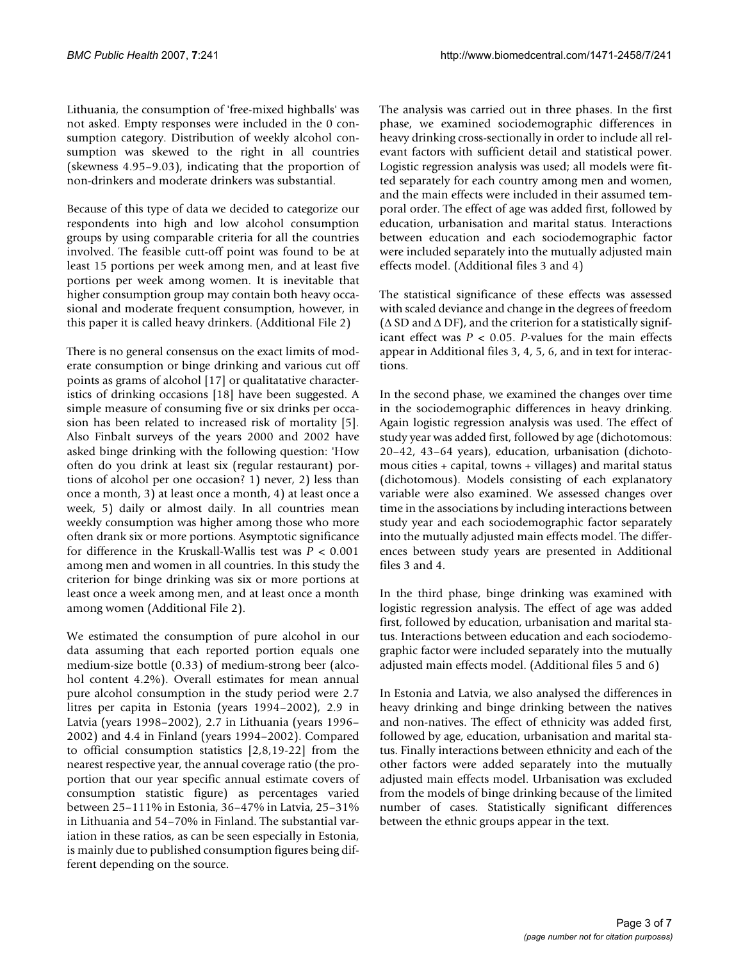Lithuania, the consumption of 'free-mixed highballs' was not asked. Empty responses were included in the 0 consumption category. Distribution of weekly alcohol consumption was skewed to the right in all countries (skewness 4.95–9.03), indicating that the proportion of non-drinkers and moderate drinkers was substantial.

Because of this type of data we decided to categorize our respondents into high and low alcohol consumption groups by using comparable criteria for all the countries involved. The feasible cutt-off point was found to be at least 15 portions per week among men, and at least five portions per week among women. It is inevitable that higher consumption group may contain both heavy occasional and moderate frequent consumption, however, in this paper it is called heavy drinkers. (Additional File 2)

There is no general consensus on the exact limits of moderate consumption or binge drinking and various cut off points as grams of alcohol [17] or qualitatative characteristics of drinking occasions [18] have been suggested. A simple measure of consuming five or six drinks per occasion has been related to increased risk of mortality [5]. Also Finbalt surveys of the years 2000 and 2002 have asked binge drinking with the following question: 'How often do you drink at least six (regular restaurant) portions of alcohol per one occasion? 1) never, 2) less than once a month, 3) at least once a month, 4) at least once a week, 5) daily or almost daily. In all countries mean weekly consumption was higher among those who more often drank six or more portions. Asymptotic significance for difference in the Kruskall-Wallis test was *P* < 0.001 among men and women in all countries. In this study the criterion for binge drinking was six or more portions at least once a week among men, and at least once a month among women (Additional File 2).

We estimated the consumption of pure alcohol in our data assuming that each reported portion equals one medium-size bottle (0.33) of medium-strong beer (alcohol content 4.2%). Overall estimates for mean annual pure alcohol consumption in the study period were 2.7 litres per capita in Estonia (years 1994–2002), 2.9 in Latvia (years 1998–2002), 2.7 in Lithuania (years 1996– 2002) and 4.4 in Finland (years 1994–2002). Compared to official consumption statistics [2,8,19-22] from the nearest respective year, the annual coverage ratio (the proportion that our year specific annual estimate covers of consumption statistic figure) as percentages varied between 25–111% in Estonia, 36–47% in Latvia, 25–31% in Lithuania and 54–70% in Finland. The substantial variation in these ratios, as can be seen especially in Estonia, is mainly due to published consumption figures being different depending on the source.

The analysis was carried out in three phases. In the first phase, we examined sociodemographic differences in heavy drinking cross-sectionally in order to include all relevant factors with sufficient detail and statistical power. Logistic regression analysis was used; all models were fitted separately for each country among men and women, and the main effects were included in their assumed temporal order. The effect of age was added first, followed by education, urbanisation and marital status. Interactions between education and each sociodemographic factor were included separately into the mutually adjusted main effects model. (Additional files 3 and 4)

The statistical significance of these effects was assessed with scaled deviance and change in the degrees of freedom  $(∆ SD and ∆ DF)$ , and the criterion for a statistically significant effect was *P* < 0.05. *P*-values for the main effects appear in Additional files 3, 4, 5, 6, and in text for interactions.

In the second phase, we examined the changes over time in the sociodemographic differences in heavy drinking. Again logistic regression analysis was used. The effect of study year was added first, followed by age (dichotomous: 20–42, 43–64 years), education, urbanisation (dichotomous cities + capital, towns + villages) and marital status (dichotomous). Models consisting of each explanatory variable were also examined. We assessed changes over time in the associations by including interactions between study year and each sociodemographic factor separately into the mutually adjusted main effects model. The differences between study years are presented in Additional files 3 and 4.

In the third phase, binge drinking was examined with logistic regression analysis. The effect of age was added first, followed by education, urbanisation and marital status. Interactions between education and each sociodemographic factor were included separately into the mutually adjusted main effects model. (Additional files 5 and 6)

In Estonia and Latvia, we also analysed the differences in heavy drinking and binge drinking between the natives and non-natives. The effect of ethnicity was added first, followed by age, education, urbanisation and marital status. Finally interactions between ethnicity and each of the other factors were added separately into the mutually adjusted main effects model. Urbanisation was excluded from the models of binge drinking because of the limited number of cases. Statistically significant differences between the ethnic groups appear in the text.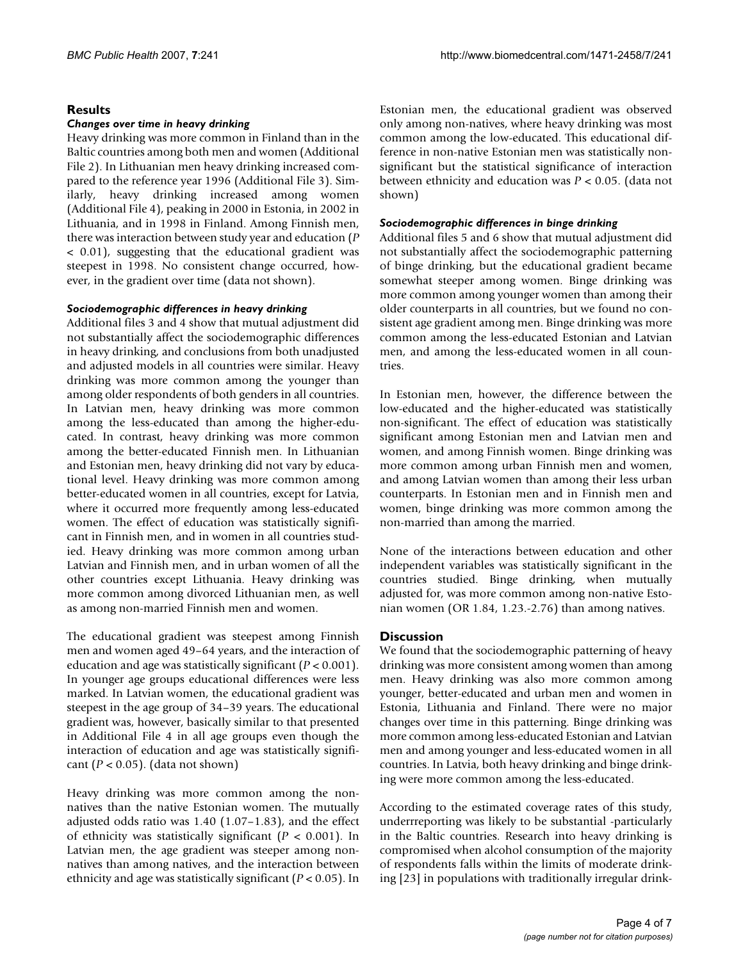#### **Results**

#### *Changes over time in heavy drinking*

Heavy drinking was more common in Finland than in the Baltic countries among both men and women (Additional File 2). In Lithuanian men heavy drinking increased compared to the reference year 1996 (Additional File 3). Similarly, heavy drinking increased among women (Additional File 4), peaking in 2000 in Estonia, in 2002 in Lithuania, and in 1998 in Finland. Among Finnish men, there was interaction between study year and education (*P* < 0.01), suggesting that the educational gradient was steepest in 1998. No consistent change occurred, however, in the gradient over time (data not shown).

#### *Sociodemographic differences in heavy drinking*

Additional files 3 and 4 show that mutual adjustment did not substantially affect the sociodemographic differences in heavy drinking, and conclusions from both unadjusted and adjusted models in all countries were similar. Heavy drinking was more common among the younger than among older respondents of both genders in all countries. In Latvian men, heavy drinking was more common among the less-educated than among the higher-educated. In contrast, heavy drinking was more common among the better-educated Finnish men. In Lithuanian and Estonian men, heavy drinking did not vary by educational level. Heavy drinking was more common among better-educated women in all countries, except for Latvia, where it occurred more frequently among less-educated women. The effect of education was statistically significant in Finnish men, and in women in all countries studied. Heavy drinking was more common among urban Latvian and Finnish men, and in urban women of all the other countries except Lithuania. Heavy drinking was more common among divorced Lithuanian men, as well as among non-married Finnish men and women.

The educational gradient was steepest among Finnish men and women aged 49–64 years, and the interaction of education and age was statistically significant (*P* < 0.001). In younger age groups educational differences were less marked. In Latvian women, the educational gradient was steepest in the age group of 34–39 years. The educational gradient was, however, basically similar to that presented in Additional File 4 in all age groups even though the interaction of education and age was statistically significant (*P* < 0.05). (data not shown)

Heavy drinking was more common among the nonnatives than the native Estonian women. The mutually adjusted odds ratio was 1.40 (1.07–1.83), and the effect of ethnicity was statistically significant (*P* < 0.001). In Latvian men, the age gradient was steeper among nonnatives than among natives, and the interaction between ethnicity and age was statistically significant (*P* < 0.05). In

Estonian men, the educational gradient was observed only among non-natives, where heavy drinking was most common among the low-educated. This educational difference in non-native Estonian men was statistically nonsignificant but the statistical significance of interaction between ethnicity and education was *P* < 0.05. (data not shown)

#### *Sociodemographic differences in binge drinking*

Additional files 5 and 6 show that mutual adjustment did not substantially affect the sociodemographic patterning of binge drinking, but the educational gradient became somewhat steeper among women. Binge drinking was more common among younger women than among their older counterparts in all countries, but we found no consistent age gradient among men. Binge drinking was more common among the less-educated Estonian and Latvian men, and among the less-educated women in all countries.

In Estonian men, however, the difference between the low-educated and the higher-educated was statistically non-significant. The effect of education was statistically significant among Estonian men and Latvian men and women, and among Finnish women. Binge drinking was more common among urban Finnish men and women, and among Latvian women than among their less urban counterparts. In Estonian men and in Finnish men and women, binge drinking was more common among the non-married than among the married.

None of the interactions between education and other independent variables was statistically significant in the countries studied. Binge drinking, when mutually adjusted for, was more common among non-native Estonian women (OR 1.84, 1.23.-2.76) than among natives.

#### **Discussion**

We found that the sociodemographic patterning of heavy drinking was more consistent among women than among men. Heavy drinking was also more common among younger, better-educated and urban men and women in Estonia, Lithuania and Finland. There were no major changes over time in this patterning. Binge drinking was more common among less-educated Estonian and Latvian men and among younger and less-educated women in all countries. In Latvia, both heavy drinking and binge drinking were more common among the less-educated.

According to the estimated coverage rates of this study, underrreporting was likely to be substantial -particularly in the Baltic countries. Research into heavy drinking is compromised when alcohol consumption of the majority of respondents falls within the limits of moderate drinking [23] in populations with traditionally irregular drink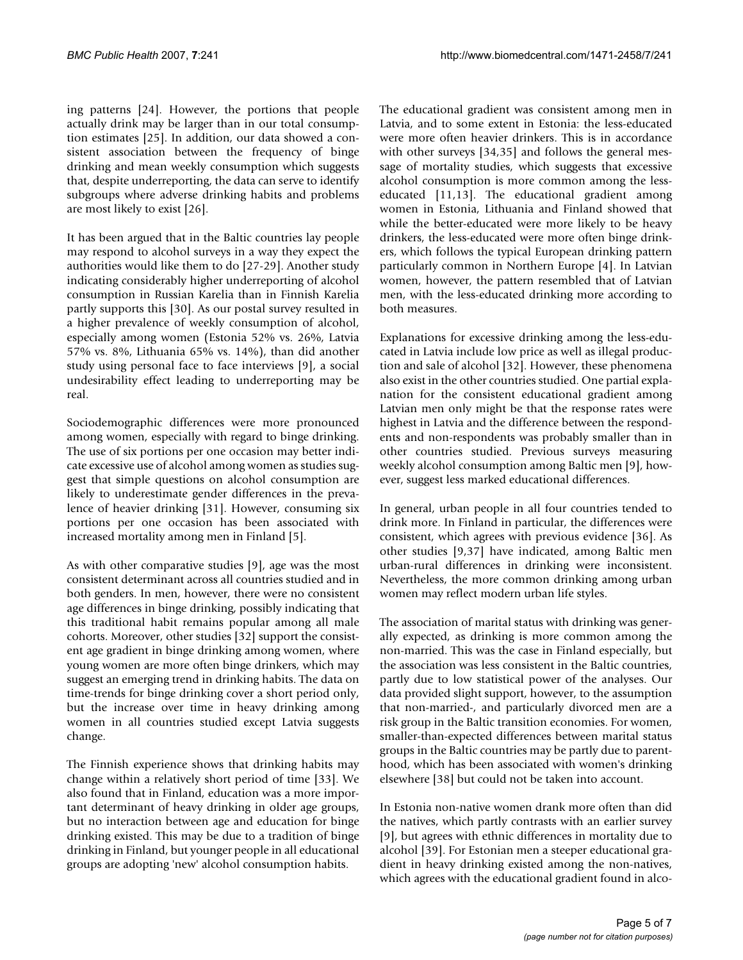ing patterns [24]. However, the portions that people actually drink may be larger than in our total consumption estimates [25]. In addition, our data showed a consistent association between the frequency of binge drinking and mean weekly consumption which suggests that, despite underreporting, the data can serve to identify subgroups where adverse drinking habits and problems are most likely to exist [26].

It has been argued that in the Baltic countries lay people may respond to alcohol surveys in a way they expect the authorities would like them to do [27-29]. Another study indicating considerably higher underreporting of alcohol consumption in Russian Karelia than in Finnish Karelia partly supports this [30]. As our postal survey resulted in a higher prevalence of weekly consumption of alcohol, especially among women (Estonia 52% vs. 26%, Latvia 57% vs. 8%, Lithuania 65% vs. 14%), than did another study using personal face to face interviews [9], a social undesirability effect leading to underreporting may be real.

Sociodemographic differences were more pronounced among women, especially with regard to binge drinking. The use of six portions per one occasion may better indicate excessive use of alcohol among women as studies suggest that simple questions on alcohol consumption are likely to underestimate gender differences in the prevalence of heavier drinking [31]. However, consuming six portions per one occasion has been associated with increased mortality among men in Finland [5].

As with other comparative studies [9], age was the most consistent determinant across all countries studied and in both genders. In men, however, there were no consistent age differences in binge drinking, possibly indicating that this traditional habit remains popular among all male cohorts. Moreover, other studies [32] support the consistent age gradient in binge drinking among women, where young women are more often binge drinkers, which may suggest an emerging trend in drinking habits. The data on time-trends for binge drinking cover a short period only, but the increase over time in heavy drinking among women in all countries studied except Latvia suggests change.

The Finnish experience shows that drinking habits may change within a relatively short period of time [33]. We also found that in Finland, education was a more important determinant of heavy drinking in older age groups, but no interaction between age and education for binge drinking existed. This may be due to a tradition of binge drinking in Finland, but younger people in all educational groups are adopting 'new' alcohol consumption habits.

The educational gradient was consistent among men in Latvia, and to some extent in Estonia: the less-educated were more often heavier drinkers. This is in accordance with other surveys [34,35] and follows the general message of mortality studies, which suggests that excessive alcohol consumption is more common among the lesseducated [11,13]. The educational gradient among women in Estonia, Lithuania and Finland showed that while the better-educated were more likely to be heavy drinkers, the less-educated were more often binge drinkers, which follows the typical European drinking pattern particularly common in Northern Europe [4]. In Latvian women, however, the pattern resembled that of Latvian men, with the less-educated drinking more according to both measures.

Explanations for excessive drinking among the less-educated in Latvia include low price as well as illegal production and sale of alcohol [32]. However, these phenomena also exist in the other countries studied. One partial explanation for the consistent educational gradient among Latvian men only might be that the response rates were highest in Latvia and the difference between the respondents and non-respondents was probably smaller than in other countries studied. Previous surveys measuring weekly alcohol consumption among Baltic men [9], however, suggest less marked educational differences.

In general, urban people in all four countries tended to drink more. In Finland in particular, the differences were consistent, which agrees with previous evidence [36]. As other studies [9,37] have indicated, among Baltic men urban-rural differences in drinking were inconsistent. Nevertheless, the more common drinking among urban women may reflect modern urban life styles.

The association of marital status with drinking was generally expected, as drinking is more common among the non-married. This was the case in Finland especially, but the association was less consistent in the Baltic countries, partly due to low statistical power of the analyses. Our data provided slight support, however, to the assumption that non-married-, and particularly divorced men are a risk group in the Baltic transition economies. For women, smaller-than-expected differences between marital status groups in the Baltic countries may be partly due to parenthood, which has been associated with women's drinking elsewhere [38] but could not be taken into account.

In Estonia non-native women drank more often than did the natives, which partly contrasts with an earlier survey [9], but agrees with ethnic differences in mortality due to alcohol [39]. For Estonian men a steeper educational gradient in heavy drinking existed among the non-natives, which agrees with the educational gradient found in alco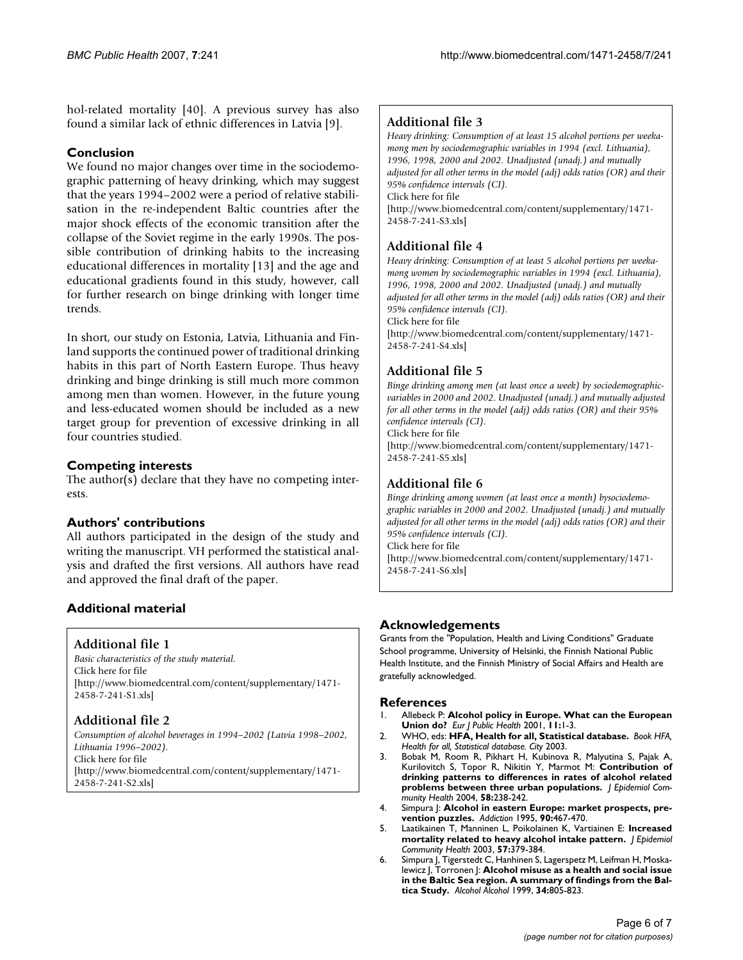hol-related mortality [40]. A previous survey has also found a similar lack of ethnic differences in Latvia [9].

# **Conclusion**

We found no major changes over time in the sociodemographic patterning of heavy drinking, which may suggest that the years 1994–2002 were a period of relative stabilisation in the re-independent Baltic countries after the major shock effects of the economic transition after the collapse of the Soviet regime in the early 1990s. The possible contribution of drinking habits to the increasing educational differences in mortality [13] and the age and educational gradients found in this study, however, call for further research on binge drinking with longer time trends.

In short, our study on Estonia, Latvia, Lithuania and Finland supports the continued power of traditional drinking habits in this part of North Eastern Europe. Thus heavy drinking and binge drinking is still much more common among men than women. However, in the future young and less-educated women should be included as a new target group for prevention of excessive drinking in all four countries studied.

# **Competing interests**

The author(s) declare that they have no competing interests.

# **Authors' contributions**

All authors participated in the design of the study and writing the manuscript. VH performed the statistical analysis and drafted the first versions. All authors have read and approved the final draft of the paper.

# **Additional material**

# **Additional file 1**

*Basic characteristics of the study material.* Click here for file [\[http://www.biomedcentral.com/content/supplementary/1471-](http://www.biomedcentral.com/content/supplementary/1471-2458-7-241-S1.xls) 2458-7-241-S1.xls]

# **Additional file 2**

*Consumption of alcohol beverages in 1994–2002 (Latvia 1998–2002, Lithuania 1996–2002).* Click here for file [\[http://www.biomedcentral.com/content/supplementary/1471-](http://www.biomedcentral.com/content/supplementary/1471-2458-7-241-S2.xls) 2458-7-241-S2.xls]

# **Additional file 3**

*Heavy drinking: Consumption of at least 15 alcohol portions per weekamong men by sociodemographic variables in 1994 (excl. Lithuania), 1996, 1998, 2000 and 2002. Unadjusted (unadj.) and mutually adjusted for all other terms in the model (adj) odds ratios (OR) and their 95% confidence intervals (CI).* Click here for file

[\[http://www.biomedcentral.com/content/supplementary/1471-](http://www.biomedcentral.com/content/supplementary/1471-2458-7-241-S3.xls) 2458-7-241-S3.xls]

# **Additional file 4**

*Heavy drinking: Consumption of at least 5 alcohol portions per weekamong women by sociodemographic variables in 1994 (excl. Lithuania), 1996, 1998, 2000 and 2002. Unadjusted (unadj.) and mutually adjusted for all other terms in the model (adj) odds ratios (OR) and their 95% confidence intervals (CI).*

Click here for file

[\[http://www.biomedcentral.com/content/supplementary/1471-](http://www.biomedcentral.com/content/supplementary/1471-2458-7-241-S4.xls) 2458-7-241-S4.xls]

# **Additional file 5**

*Binge drinking among men (at least once a week) by sociodemographicvariables in 2000 and 2002. Unadjusted (unadj.) and mutually adjusted for all other terms in the model (adj) odds ratios (OR) and their 95% confidence intervals (CI).*

Click here for file

[\[http://www.biomedcentral.com/content/supplementary/1471-](http://www.biomedcentral.com/content/supplementary/1471-2458-7-241-S5.xls) 2458-7-241-S5.xls]

# **Additional file 6**

*Binge drinking among women (at least once a month) bysociodemographic variables in 2000 and 2002. Unadjusted (unadj.) and mutually adjusted for all other terms in the model (adj) odds ratios (OR) and their 95% confidence intervals (CI).* Click here for file

[\[http://www.biomedcentral.com/content/supplementary/1471-](http://www.biomedcentral.com/content/supplementary/1471-2458-7-241-S6.xls) 2458-7-241-S6.xls]

# **Acknowledgements**

Grants from the "Population, Health and Living Conditions" Graduate School programme, University of Helsinki, the Finnish National Public Health Institute, and the Finnish Ministry of Social Affairs and Health are gratefully acknowledged.

#### **References**

- 1. Allebeck P: **[Alcohol policy in Europe. What can the European](http://www.ncbi.nlm.nih.gov/entrez/query.fcgi?cmd=Retrieve&db=PubMed&dopt=Abstract&list_uids=11276562) [Union do?](http://www.ncbi.nlm.nih.gov/entrez/query.fcgi?cmd=Retrieve&db=PubMed&dopt=Abstract&list_uids=11276562)** *Eur J Public Health* 2001, **11:**1-3.
- 2. WHO, eds: **HFA, Health for all, Statistical database.** *Book HFA, Health for all, Statistical database. City* 2003.
- 3. Bobak M, Room R, Pikhart H, Kubinova R, Malyutina S, Pajak A, Kurilovitch S, Topor R, Nikitin Y, Marmot M: **[Contribution of](http://www.ncbi.nlm.nih.gov/entrez/query.fcgi?cmd=Retrieve&db=PubMed&dopt=Abstract&list_uids=14966239) [drinking patterns to differences in rates of alcohol related](http://www.ncbi.nlm.nih.gov/entrez/query.fcgi?cmd=Retrieve&db=PubMed&dopt=Abstract&list_uids=14966239) [problems between three urban populations.](http://www.ncbi.nlm.nih.gov/entrez/query.fcgi?cmd=Retrieve&db=PubMed&dopt=Abstract&list_uids=14966239)** *J Epidemiol Community Health* 2004, **58:**238-242.
- 4. Simpura J: **[Alcohol in eastern Europe: market prospects, pre](http://www.ncbi.nlm.nih.gov/entrez/query.fcgi?cmd=Retrieve&db=PubMed&dopt=Abstract&list_uids=7773105)[vention puzzles.](http://www.ncbi.nlm.nih.gov/entrez/query.fcgi?cmd=Retrieve&db=PubMed&dopt=Abstract&list_uids=7773105)** *Addiction* 1995, **90:**467-470.
- 5. Laatikainen T, Manninen L, Poikolainen K, Vartiainen E: **[Increased](http://www.ncbi.nlm.nih.gov/entrez/query.fcgi?cmd=Retrieve&db=PubMed&dopt=Abstract&list_uids=12700224) [mortality related to heavy alcohol intake pattern.](http://www.ncbi.nlm.nih.gov/entrez/query.fcgi?cmd=Retrieve&db=PubMed&dopt=Abstract&list_uids=12700224)** *J Epidemiol Community Health* 2003, **57:**379-384.
- 6. Simpura J, Tigerstedt C, Hanhinen S, Lagerspetz M, Leifman H, Moskalewicz J, Torronen J: **[Alcohol misuse as a health and social issue](http://www.ncbi.nlm.nih.gov/entrez/query.fcgi?cmd=Retrieve&db=PubMed&dopt=Abstract&list_uids=10659716) [in the Baltic Sea region. A summary of findings from the Bal](http://www.ncbi.nlm.nih.gov/entrez/query.fcgi?cmd=Retrieve&db=PubMed&dopt=Abstract&list_uids=10659716)[tica Study.](http://www.ncbi.nlm.nih.gov/entrez/query.fcgi?cmd=Retrieve&db=PubMed&dopt=Abstract&list_uids=10659716)** *Alcohol Alcohol* 1999, **34:**805-823.